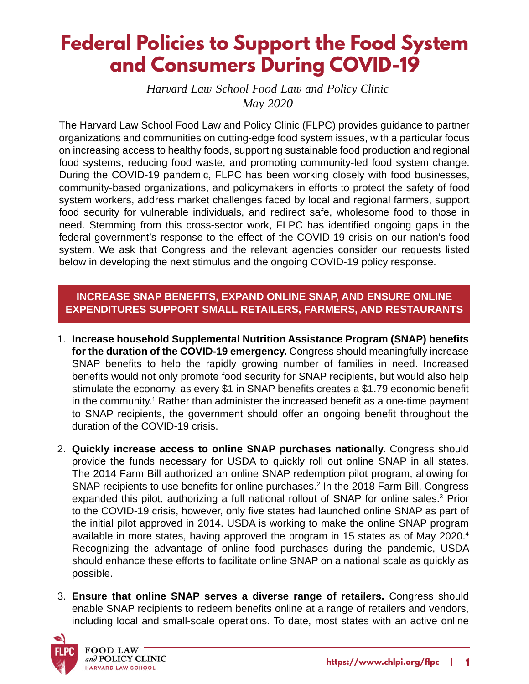# **Federal Policies to Support the Food System and Consumers During COVID-19**

*Harvard Law School Food Law and Policy Clinic May 2020*

The Harvard Law School Food Law and Policy Clinic (FLPC) provides guidance to partner organizations and communities on cutting-edge food system issues, with a particular focus on increasing access to healthy foods, supporting sustainable food production and regional food systems, reducing food waste, and promoting community-led food system change. During the COVID-19 pandemic, FLPC has been working closely with food businesses, community-based organizations, and policymakers in efforts to protect the safety of food system workers, address market challenges faced by local and regional farmers, support food security for vulnerable individuals, and redirect safe, wholesome food to those in need. Stemming from this cross-sector work, FLPC has identified ongoing gaps in the federal government's response to the effect of the COVID-19 crisis on our nation's food system. We ask that Congress and the relevant agencies consider our requests listed below in developing the next stimulus and the ongoing COVID-19 policy response.

## **INCREASE SNAP BENEFITS, EXPAND ONLINE SNAP, AND ENSURE ONLINE EXPENDITURES SUPPORT SMALL RETAILERS, FARMERS, AND RESTAURANTS**

- 1. **Increase household Supplemental Nutrition Assistance Program (SNAP) benefits for the duration of the COVID-19 emergency.** Congress should meaningfully increase SNAP benefits to help the rapidly growing number of families in need. Increased benefits would not only promote food security for SNAP recipients, but would also help stimulate the economy, as every \$1 in SNAP benefits creates a \$1.79 economic benefit in the community. $^{\rm 1}$  Rather than administer the increased benefit as a one-time payment to SNAP recipients, the government should offer an ongoing benefit throughout the duration of the COVID-19 crisis.
- 2. **Quickly increase access to online SNAP purchases nationally.** Congress should provide the funds necessary for USDA to quickly roll out online SNAP in all states. The 2014 Farm Bill authorized an online SNAP redemption pilot program, allowing for SNAP recipients to use benefits for online purchases.<sup>2</sup> In the 2018 Farm Bill, Congress expanded this pilot, authorizing a full national rollout of SNAP for online sales.<sup>3</sup> Prior to the COVID-19 crisis, however, only five states had launched online SNAP as part of the initial pilot approved in 2014. USDA is working to make the online SNAP program available in more states, having approved the program in 15 states as of May 2020.<sup>4</sup> Recognizing the advantage of online food purchases during the pandemic, USDA should enhance these efforts to facilitate online SNAP on a national scale as quickly as possible.
- 3. **Ensure that online SNAP serves a diverse range of retailers.** Congress should enable SNAP recipients to redeem benefits online at a range of retailers and vendors, including local and small-scale operations. To date, most states with an active online

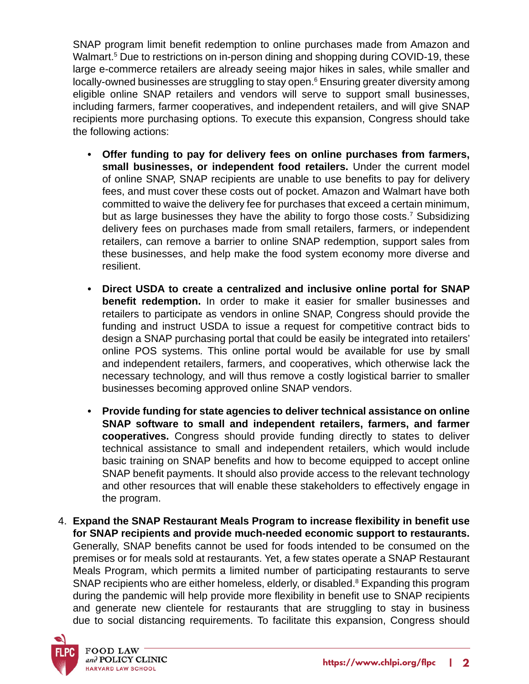SNAP program limit benefit redemption to online purchases made from Amazon and Walmart.5 Due to restrictions on in-person dining and shopping during COVID-19, these large e-commerce retailers are already seeing major hikes in sales, while smaller and locally-owned businesses are struggling to stay open.<sup>6</sup> Ensuring greater diversity among eligible online SNAP retailers and vendors will serve to support small businesses, including farmers, farmer cooperatives, and independent retailers, and will give SNAP recipients more purchasing options. To execute this expansion, Congress should take the following actions:

- **• Offer funding to pay for delivery fees on online purchases from farmers, small businesses, or independent food retailers.** Under the current model of online SNAP, SNAP recipients are unable to use benefits to pay for delivery fees, and must cover these costs out of pocket. Amazon and Walmart have both committed to waive the delivery fee for purchases that exceed a certain minimum, but as large businesses they have the ability to forgo those costs.<sup>7</sup> Subsidizing delivery fees on purchases made from small retailers, farmers, or independent retailers, can remove a barrier to online SNAP redemption, support sales from these businesses, and help make the food system economy more diverse and resilient.
- **• Direct USDA to create a centralized and inclusive online portal for SNAP benefit redemption.** In order to make it easier for smaller businesses and retailers to participate as vendors in online SNAP, Congress should provide the funding and instruct USDA to issue a request for competitive contract bids to design a SNAP purchasing portal that could be easily be integrated into retailers' online POS systems. This online portal would be available for use by small and independent retailers, farmers, and cooperatives, which otherwise lack the necessary technology, and will thus remove a costly logistical barrier to smaller businesses becoming approved online SNAP vendors.
- **• Provide funding for state agencies to deliver technical assistance on online SNAP software to small and independent retailers, farmers, and farmer cooperatives.** Congress should provide funding directly to states to deliver technical assistance to small and independent retailers, which would include basic training on SNAP benefits and how to become equipped to accept online SNAP benefit payments. It should also provide access to the relevant technology and other resources that will enable these stakeholders to effectively engage in the program.
- 4. **Expand the SNAP Restaurant Meals Program to increase flexibility in benefit use for SNAP recipients and provide much-needed economic support to restaurants.**  Generally, SNAP benefits cannot be used for foods intended to be consumed on the premises or for meals sold at restaurants. Yet, a few states operate a SNAP Restaurant Meals Program, which permits a limited number of participating restaurants to serve SNAP recipients who are either homeless, elderly, or disabled. $^8$  Expanding this program during the pandemic will help provide more flexibility in benefit use to SNAP recipients and generate new clientele for restaurants that are struggling to stay in business due to social distancing requirements. To facilitate this expansion, Congress should

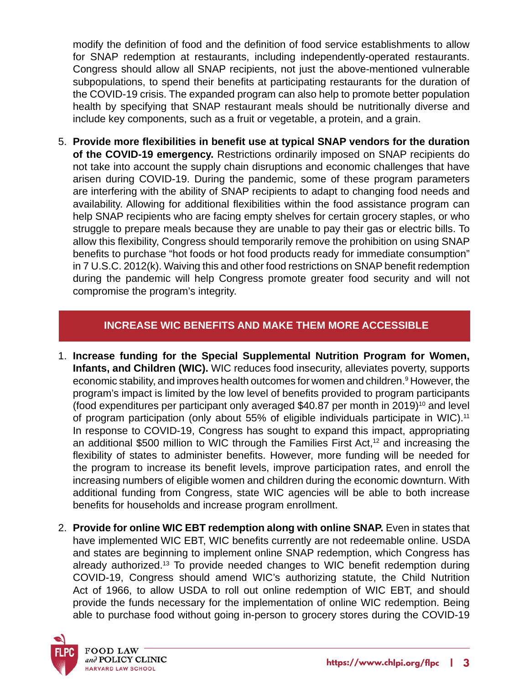modify the definition of food and the definition of food service establishments to allow for SNAP redemption at restaurants, including independently-operated restaurants. Congress should allow all SNAP recipients, not just the above-mentioned vulnerable subpopulations, to spend their benefits at participating restaurants for the duration of the COVID-19 crisis. The expanded program can also help to promote better population health by specifying that SNAP restaurant meals should be nutritionally diverse and include key components, such as a fruit or vegetable, a protein, and a grain.

5. **Provide more flexibilities in benefit use at typical SNAP vendors for the duration of the COVID-19 emergency.** Restrictions ordinarily imposed on SNAP recipients do not take into account the supply chain disruptions and economic challenges that have arisen during COVID-19. During the pandemic, some of these program parameters are interfering with the ability of SNAP recipients to adapt to changing food needs and availability. Allowing for additional flexibilities within the food assistance program can help SNAP recipients who are facing empty shelves for certain grocery staples, or who struggle to prepare meals because they are unable to pay their gas or electric bills. To allow this flexibility, Congress should temporarily remove the prohibition on using SNAP benefits to purchase "hot foods or hot food products ready for immediate consumption" in 7 U.S.C. 2012(k). Waiving this and other food restrictions on SNAP benefit redemption during the pandemic will help Congress promote greater food security and will not compromise the program's integrity.

#### **INCREASE WIC BENEFITS AND MAKE THEM MORE ACCESSIBLE**

- 1. **Increase funding for the Special Supplemental Nutrition Program for Women, Infants, and Children (WIC).** WIC reduces food insecurity, alleviates poverty, supports economic stability, and improves health outcomes for women and children.<sup>9</sup> However, the program's impact is limited by the low level of benefits provided to program participants (food expenditures per participant only averaged  $$40.87$  per month in 2019)<sup>10</sup> and level of program participation (only about 55% of eligible individuals participate in WIC).<sup>11</sup> In response to COVID-19, Congress has sought to expand this impact, appropriating an additional \$500 million to WIC through the Families First Act,<sup>12</sup> and increasing the flexibility of states to administer benefits. However, more funding will be needed for the program to increase its benefit levels, improve participation rates, and enroll the increasing numbers of eligible women and children during the economic downturn. With additional funding from Congress, state WIC agencies will be able to both increase benefits for households and increase program enrollment.
- 2. **Provide for online WIC EBT redemption along with online SNAP.** Even in states that have implemented WIC EBT, WIC benefits currently are not redeemable online. USDA and states are beginning to implement online SNAP redemption, which Congress has already authorized.<sup>13</sup> To provide needed changes to WIC benefit redemption during COVID-19, Congress should amend WIC's authorizing statute, the Child Nutrition Act of 1966, to allow USDA to roll out online redemption of WIC EBT, and should provide the funds necessary for the implementation of online WIC redemption. Being able to purchase food without going in-person to grocery stores during the COVID-19

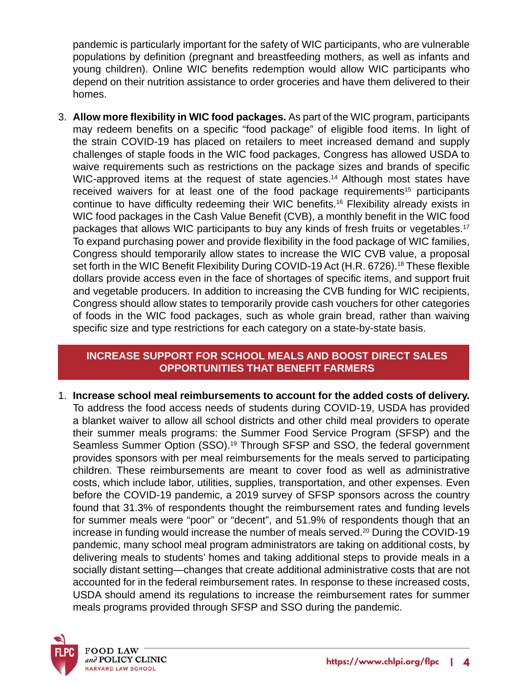pandemic is particularly important for the safety of WIC participants, who are vulnerable populations by definition (pregnant and breastfeeding mothers, as well as infants and young children). Online WIC benefits redemption would allow WIC participants who depend on their nutrition assistance to order groceries and have them delivered to their homes.

3. **Allow more flexibility in WIC food packages.** As part of the WIC program, participants may redeem benefits on a specific "food package" of eligible food items. In light of the strain COVID-19 has placed on retailers to meet increased demand and supply challenges of staple foods in the WIC food packages, Congress has allowed USDA to waive requirements such as restrictions on the package sizes and brands of specific WIC-approved items at the request of state agencies.<sup>14</sup> Although most states have received waivers for at least one of the food package requirements<sup>15</sup> participants continue to have difficulty redeeming their WIC benefits.<sup>16</sup> Flexibility already exists in WIC food packages in the Cash Value Benefit (CVB), a monthly benefit in the WIC food packages that allows WIC participants to buy any kinds of fresh fruits or vegetables.<sup>17</sup> To expand purchasing power and provide flexibility in the food package of WIC families, Congress should temporarily allow states to increase the WIC CVB value, a proposal set forth in the WIC Benefit Flexibility During COVID-19 Act (H.R. 6726).<sup>18</sup> These flexible dollars provide access even in the face of shortages of specific items, and support fruit and vegetable producers. In addition to increasing the CVB funding for WIC recipients, Congress should allow states to temporarily provide cash vouchers for other categories of foods in the WIC food packages, such as whole grain bread, rather than waiving specific size and type restrictions for each category on a state-by-state basis.

## **INCREASE SUPPORT FOR SCHOOL MEALS AND BOOST DIRECT SALES OPPORTUNITIES THAT BENEFIT FARMERS**

1. **Increase school meal reimbursements to account for the added costs of delivery.**  To address the food access needs of students during COVID-19, USDA has provided a blanket waiver to allow all school districts and other child meal providers to operate their summer meals programs: the Summer Food Service Program (SFSP) and the Seamless Summer Option (SSO).<sup>19</sup> Through SFSP and SSO, the federal government provides sponsors with per meal reimbursements for the meals served to participating children. These reimbursements are meant to cover food as well as administrative costs, which include labor, utilities, supplies, transportation, and other expenses. Even before the COVID-19 pandemic, a 2019 survey of SFSP sponsors across the country found that 31.3% of respondents thought the reimbursement rates and funding levels for summer meals were "poor" or "decent", and 51.9% of respondents though that an increase in funding would increase the number of meals served.<sup>20</sup> During the COVID-19 pandemic, many school meal program administrators are taking on additional costs, by delivering meals to students' homes and taking additional steps to provide meals in a socially distant setting—changes that create additional administrative costs that are not accounted for in the federal reimbursement rates. In response to these increased costs, USDA should amend its regulations to increase the reimbursement rates for summer meals programs provided through SFSP and SSO during the pandemic.

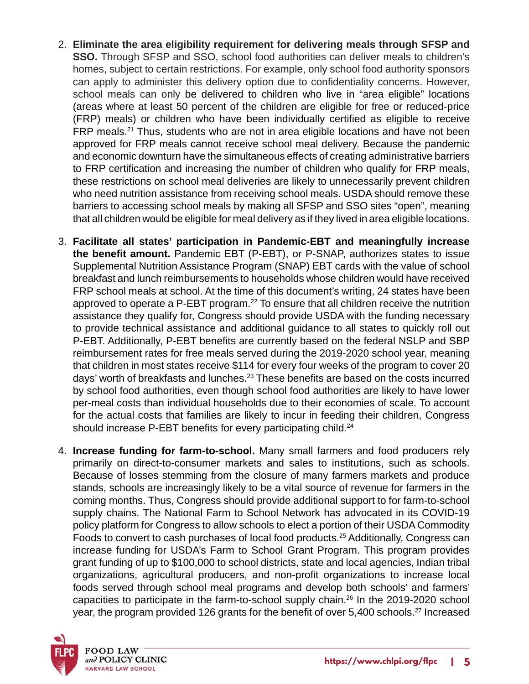- 2. **Eliminate the area eligibility requirement for delivering meals through SFSP and SSO.** Through SFSP and SSO, school food authorities can deliver meals to children's homes, subject to certain restrictions. For example, only school food authority sponsors can apply to administer this delivery option due to confidentiality concerns. However, school meals can only be delivered to children who live in "area eligible" locations (areas where at least 50 percent of the children are eligible for free or reduced-price (FRP) meals) or children who have been individually certified as eligible to receive FRP meals.21 Thus, students who are not in area eligible locations and have not been approved for FRP meals cannot receive school meal delivery. Because the pandemic and economic downturn have the simultaneous effects of creating administrative barriers to FRP certification and increasing the number of children who qualify for FRP meals, these restrictions on school meal deliveries are likely to unnecessarily prevent children who need nutrition assistance from receiving school meals. USDA should remove these barriers to accessing school meals by making all SFSP and SSO sites "open", meaning that all children would be eligible for meal delivery as if they lived in area eligible locations.
- 3. **Facilitate all states' participation in Pandemic-EBT and meaningfully increase the benefit amount.** Pandemic EBT (P-EBT), or P-SNAP, authorizes states to issue Supplemental Nutrition Assistance Program (SNAP) EBT cards with the value of school breakfast and lunch reimbursements to households whose children would have received FRP school meals at school. At the time of this document's writing, 24 states have been approved to operate a P-EBT program.<sup>22</sup> To ensure that all children receive the nutrition assistance they qualify for, Congress should provide USDA with the funding necessary to provide technical assistance and additional guidance to all states to quickly roll out P-EBT. Additionally, P-EBT benefits are currently based on the federal NSLP and SBP reimbursement rates for free meals served during the 2019-2020 school year, meaning that children in most states receive \$114 for every four weeks of the program to cover 20 days' worth of breakfasts and lunches.<sup>23</sup> These benefits are based on the costs incurred by school food authorities, even though school food authorities are likely to have lower per-meal costs than individual households due to their economies of scale. To account for the actual costs that families are likely to incur in feeding their children, Congress should increase P-EBT benefits for every participating child.<sup>24</sup>
- 4. **Increase funding for farm-to-school.** Many small farmers and food producers rely primarily on direct-to-consumer markets and sales to institutions, such as schools. Because of losses stemming from the closure of many farmers markets and produce stands, schools are increasingly likely to be a vital source of revenue for farmers in the coming months. Thus, Congress should provide additional support to for farm-to-school supply chains. The National Farm to School Network has advocated in its COVID-19 policy platform for Congress to allow schools to elect a portion of their USDA Commodity Foods to convert to cash purchases of local food products.25 Additionally, Congress can increase funding for USDA's Farm to School Grant Program. This program provides grant funding of up to \$100,000 to school districts, state and local agencies, Indian tribal organizations, agricultural producers, and non-profit organizations to increase local foods served through school meal programs and develop both schools' and farmers' capacities to participate in the farm-to-school supply chain.<sup>26</sup> In the 2019-2020 school year, the program provided 126 grants for the benefit of over 5,400 schools.<sup>27</sup> Increased

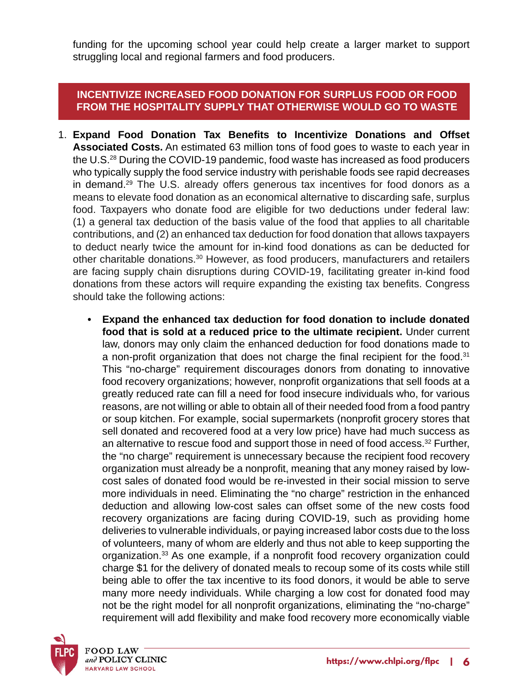funding for the upcoming school year could help create a larger market to support struggling local and regional farmers and food producers.

## **INCENTIVIZE INCREASED FOOD DONATION FOR SURPLUS FOOD OR FOOD FROM THE HOSPITALITY SUPPLY THAT OTHERWISE WOULD GO TO WASTE**

- 1. **Expand Food Donation Tax Benefits to Incentivize Donations and Offset Associated Costs.** An estimated 63 million tons of food goes to waste to each year in the U.S.28 During the COVID-19 pandemic, food waste has increased as food producers who typically supply the food service industry with perishable foods see rapid decreases in demand.<sup>29</sup> The U.S. already offers generous tax incentives for food donors as a means to elevate food donation as an economical alternative to discarding safe, surplus food. Taxpayers who donate food are eligible for two deductions under federal law: (1) a general tax deduction of the basis value of the food that applies to all charitable contributions, and (2) an enhanced tax deduction for food donation that allows taxpayers to deduct nearly twice the amount for in-kind food donations as can be deducted for other charitable donations.<sup>30</sup> However, as food producers, manufacturers and retailers are facing supply chain disruptions during COVID-19, facilitating greater in-kind food donations from these actors will require expanding the existing tax benefits. Congress should take the following actions:
	- **• Expand the enhanced tax deduction for food donation to include donated food that is sold at a reduced price to the ultimate recipient.** Under current law, donors may only claim the enhanced deduction for food donations made to a non-profit organization that does not charge the final recipient for the food.<sup>31</sup> This "no-charge" requirement discourages donors from donating to innovative food recovery organizations; however, nonprofit organizations that sell foods at a greatly reduced rate can fill a need for food insecure individuals who, for various reasons, are not willing or able to obtain all of their needed food from a food pantry or soup kitchen. For example, social supermarkets (nonprofit grocery stores that sell donated and recovered food at a very low price) have had much success as an alternative to rescue food and support those in need of food access.<sup>32</sup> Further, the "no charge" requirement is unnecessary because the recipient food recovery organization must already be a nonprofit, meaning that any money raised by lowcost sales of donated food would be re-invested in their social mission to serve more individuals in need. Eliminating the "no charge" restriction in the enhanced deduction and allowing low-cost sales can offset some of the new costs food recovery organizations are facing during COVID-19, such as providing home deliveries to vulnerable individuals, or paying increased labor costs due to the loss of volunteers, many of whom are elderly and thus not able to keep supporting the organization.<sup>33</sup> As one example, if a nonprofit food recovery organization could charge \$1 for the delivery of donated meals to recoup some of its costs while still being able to offer the tax incentive to its food donors, it would be able to serve many more needy individuals. While charging a low cost for donated food may not be the right model for all nonprofit organizations, eliminating the "no-charge" requirement will add flexibility and make food recovery more economically viable

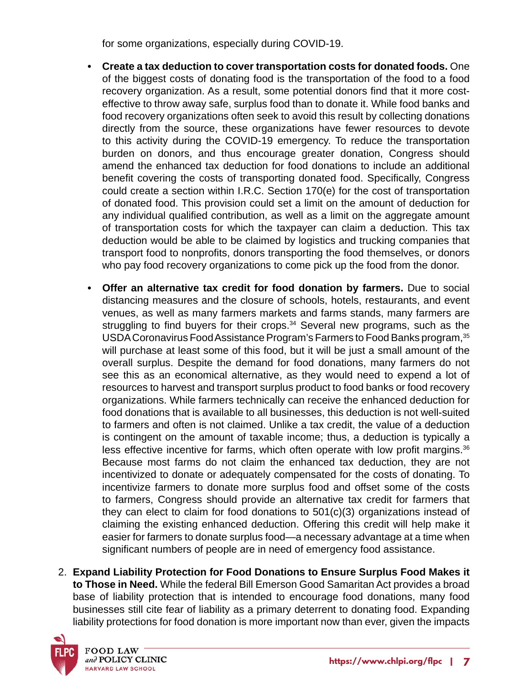for some organizations, especially during COVID-19.

- **• Create a tax deduction to cover transportation costs for donated foods.** One of the biggest costs of donating food is the transportation of the food to a food recovery organization. As a result, some potential donors find that it more costeffective to throw away safe, surplus food than to donate it. While food banks and food recovery organizations often seek to avoid this result by collecting donations directly from the source, these organizations have fewer resources to devote to this activity during the COVID-19 emergency. To reduce the transportation burden on donors, and thus encourage greater donation, Congress should amend the enhanced tax deduction for food donations to include an additional benefit covering the costs of transporting donated food. Specifically, Congress could create a section within I.R.C. Section 170(e) for the cost of transportation of donated food. This provision could set a limit on the amount of deduction for any individual qualified contribution, as well as a limit on the aggregate amount of transportation costs for which the taxpayer can claim a deduction. This tax deduction would be able to be claimed by logistics and trucking companies that transport food to nonprofits, donors transporting the food themselves, or donors who pay food recovery organizations to come pick up the food from the donor.
- **• Offer an alternative tax credit for food donation by farmers.** Due to social distancing measures and the closure of schools, hotels, restaurants, and event venues, as well as many farmers markets and farms stands, many farmers are struggling to find buyers for their crops. $34$  Several new programs, such as the USDA Coronavirus Food Assistance Program's Farmers to Food Banks program, 35 will purchase at least some of this food, but it will be just a small amount of the overall surplus. Despite the demand for food donations, many farmers do not see this as an economical alternative, as they would need to expend a lot of resources to harvest and transport surplus product to food banks or food recovery organizations. While farmers technically can receive the enhanced deduction for food donations that is available to all businesses, this deduction is not well-suited to farmers and often is not claimed. Unlike a tax credit, the value of a deduction is contingent on the amount of taxable income; thus, a deduction is typically a less effective incentive for farms, which often operate with low profit margins. $36$ Because most farms do not claim the enhanced tax deduction, they are not incentivized to donate or adequately compensated for the costs of donating. To incentivize farmers to donate more surplus food and offset some of the costs to farmers, Congress should provide an alternative tax credit for farmers that they can elect to claim for food donations to 501(c)(3) organizations instead of claiming the existing enhanced deduction. Offering this credit will help make it easier for farmers to donate surplus food—a necessary advantage at a time when significant numbers of people are in need of emergency food assistance.
- 2. **Expand Liability Protection for Food Donations to Ensure Surplus Food Makes it to Those in Need.** While the federal Bill Emerson Good Samaritan Act provides a broad base of liability protection that is intended to encourage food donations, many food businesses still cite fear of liability as a primary deterrent to donating food. Expanding liability protections for food donation is more important now than ever, given the impacts

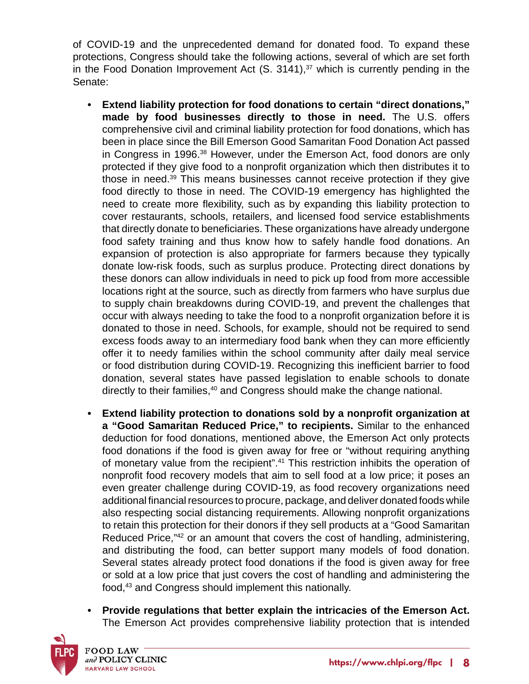of COVID-19 and the unprecedented demand for donated food. To expand these protections, Congress should take the following actions, several of which are set forth in the Food Donation Improvement Act  $(S. 3141)<sup>37</sup>$  which is currently pending in the Senate:

- **• Extend liability protection for food donations to certain "direct donations," made by food businesses directly to those in need.** The U.S. offers comprehensive civil and criminal liability protection for food donations, which has been in place since the Bill Emerson Good Samaritan Food Donation Act passed in Congress in 1996.38 However, under the Emerson Act, food donors are only protected if they give food to a nonprofit organization which then distributes it to those in need.39 This means businesses cannot receive protection if they give food directly to those in need. The COVID-19 emergency has highlighted the need to create more flexibility, such as by expanding this liability protection to cover restaurants, schools, retailers, and licensed food service establishments that directly donate to beneficiaries. These organizations have already undergone food safety training and thus know how to safely handle food donations. An expansion of protection is also appropriate for farmers because they typically donate low-risk foods, such as surplus produce. Protecting direct donations by these donors can allow individuals in need to pick up food from more accessible locations right at the source, such as directly from farmers who have surplus due to supply chain breakdowns during COVID-19, and prevent the challenges that occur with always needing to take the food to a nonprofit organization before it is donated to those in need. Schools, for example, should not be required to send excess foods away to an intermediary food bank when they can more efficiently offer it to needy families within the school community after daily meal service or food distribution during COVID-19. Recognizing this inefficient barrier to food donation, several states have passed legislation to enable schools to donate directly to their families,<sup>40</sup> and Congress should make the change national.
- **• Extend liability protection to donations sold by a nonprofit organization at a "Good Samaritan Reduced Price," to recipients.** Similar to the enhanced deduction for food donations, mentioned above, the Emerson Act only protects food donations if the food is given away for free or "without requiring anything of monetary value from the recipient".<sup>41</sup> This restriction inhibits the operation of nonprofit food recovery models that aim to sell food at a low price; it poses an even greater challenge during COVID-19, as food recovery organizations need additional financial resources to procure, package, and deliver donated foods while also respecting social distancing requirements. Allowing nonprofit organizations to retain this protection for their donors if they sell products at a "Good Samaritan Reduced Price,<sup>"42</sup> or an amount that covers the cost of handling, administering, and distributing the food, can better support many models of food donation. Several states already protect food donations if the food is given away for free or sold at a low price that just covers the cost of handling and administering the food,<sup>43</sup> and Congress should implement this nationally.
- **• Provide regulations that better explain the intricacies of the Emerson Act.**  The Emerson Act provides comprehensive liability protection that is intended

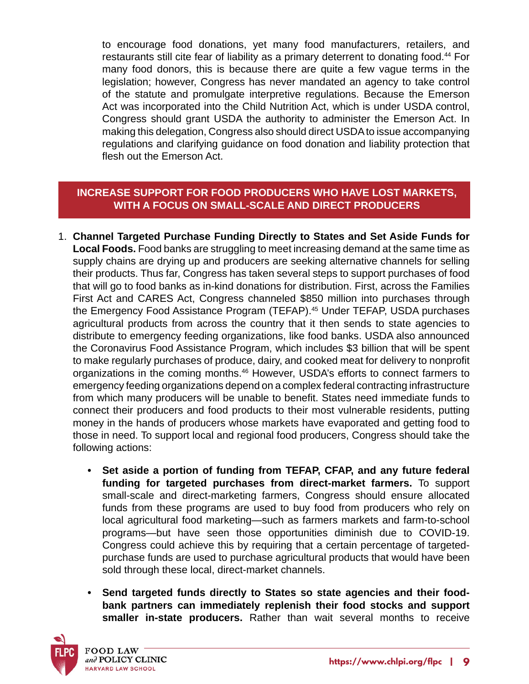to encourage food donations, yet many food manufacturers, retailers, and restaurants still cite fear of liability as a primary deterrent to donating food.<sup>44</sup> For many food donors, this is because there are quite a few vague terms in the legislation; however, Congress has never mandated an agency to take control of the statute and promulgate interpretive regulations. Because the Emerson Act was incorporated into the Child Nutrition Act, which is under USDA control, Congress should grant USDA the authority to administer the Emerson Act. In making this delegation, Congress also should direct USDA to issue accompanying regulations and clarifying guidance on food donation and liability protection that flesh out the Emerson Act.

# **INCREASE SUPPORT FOR FOOD PRODUCERS WHO HAVE LOST MARKETS, WITH A FOCUS ON SMALL-SCALE AND DIRECT PRODUCERS**

- 1. **Channel Targeted Purchase Funding Directly to States and Set Aside Funds for Local Foods.** Food banks are struggling to meet increasing demand at the same time as supply chains are drying up and producers are seeking alternative channels for selling their products. Thus far, Congress has taken several steps to support purchases of food that will go to food banks as in-kind donations for distribution. First, across the Families First Act and CARES Act, Congress channeled \$850 million into purchases through the Emergency Food Assistance Program (TEFAP).<sup>45</sup> Under TEFAP, USDA purchases agricultural products from across the country that it then sends to state agencies to distribute to emergency feeding organizations, like food banks. USDA also announced the Coronavirus Food Assistance Program, which includes \$3 billion that will be spent to make regularly purchases of produce, dairy, and cooked meat for delivery to nonprofit organizations in the coming months.<sup>46</sup> However, USDA's efforts to connect farmers to emergency feeding organizations depend on a complex federal contracting infrastructure from which many producers will be unable to benefit. States need immediate funds to connect their producers and food products to their most vulnerable residents, putting money in the hands of producers whose markets have evaporated and getting food to those in need. To support local and regional food producers, Congress should take the following actions:
	- **• Set aside a portion of funding from TEFAP, CFAP, and any future federal funding for targeted purchases from direct-market farmers.** To support small-scale and direct-marketing farmers, Congress should ensure allocated funds from these programs are used to buy food from producers who rely on local agricultural food marketing—such as farmers markets and farm-to-school programs—but have seen those opportunities diminish due to COVID-19. Congress could achieve this by requiring that a certain percentage of targetedpurchase funds are used to purchase agricultural products that would have been sold through these local, direct-market channels.
	- **• Send targeted funds directly to States so state agencies and their foodbank partners can immediately replenish their food stocks and support smaller in-state producers.** Rather than wait several months to receive

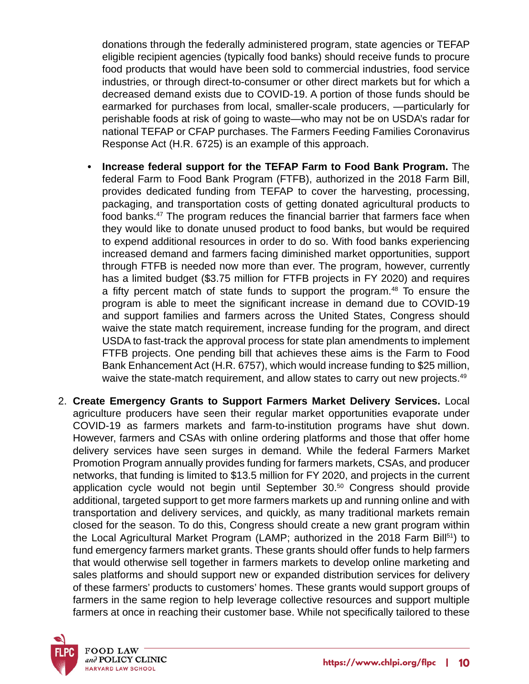donations through the federally administered program, state agencies or TEFAP eligible recipient agencies (typically food banks) should receive funds to procure food products that would have been sold to commercial industries, food service industries, or through direct-to-consumer or other direct markets but for which a decreased demand exists due to COVID-19. A portion of those funds should be earmarked for purchases from local, smaller-scale producers, —particularly for perishable foods at risk of going to waste—who may not be on USDA's radar for national TEFAP or CFAP purchases. The Farmers Feeding Families Coronavirus Response Act (H.R. 6725) is an example of this approach.

- **• Increase federal support for the TEFAP Farm to Food Bank Program.** The federal Farm to Food Bank Program (FTFB), authorized in the 2018 Farm Bill, provides dedicated funding from TEFAP to cover the harvesting, processing, packaging, and transportation costs of getting donated agricultural products to food banks.<sup>47</sup> The program reduces the financial barrier that farmers face when they would like to donate unused product to food banks, but would be required to expend additional resources in order to do so. With food banks experiencing increased demand and farmers facing diminished market opportunities, support through FTFB is needed now more than ever. The program, however, currently has a limited budget (\$3.75 million for FTFB projects in FY 2020) and requires a fifty percent match of state funds to support the program.48 To ensure the program is able to meet the significant increase in demand due to COVID-19 and support families and farmers across the United States, Congress should waive the state match requirement, increase funding for the program, and direct USDA to fast-track the approval process for state plan amendments to implement FTFB projects. One pending bill that achieves these aims is the Farm to Food Bank Enhancement Act (H.R. 6757), which would increase funding to \$25 million, waive the state-match requirement, and allow states to carry out new projects.<sup>49</sup>
- 2. **Create Emergency Grants to Support Farmers Market Delivery Services.** Local agriculture producers have seen their regular market opportunities evaporate under COVID-19 as farmers markets and farm-to-institution programs have shut down. However, farmers and CSAs with online ordering platforms and those that offer home delivery services have seen surges in demand. While the federal Farmers Market Promotion Program annually provides funding for farmers markets, CSAs, and producer networks, that funding is limited to \$13.5 million for FY 2020, and projects in the current application cycle would not begin until September 30.50 Congress should provide additional, targeted support to get more farmers markets up and running online and with transportation and delivery services, and quickly, as many traditional markets remain closed for the season. To do this, Congress should create a new grant program within the Local Agricultural Market Program (LAMP; authorized in the 2018 Farm Bill<sup>51</sup>) to fund emergency farmers market grants. These grants should offer funds to help farmers that would otherwise sell together in farmers markets to develop online marketing and sales platforms and should support new or expanded distribution services for delivery of these farmers' products to customers' homes. These grants would support groups of farmers in the same region to help leverage collective resources and support multiple farmers at once in reaching their customer base. While not specifically tailored to these

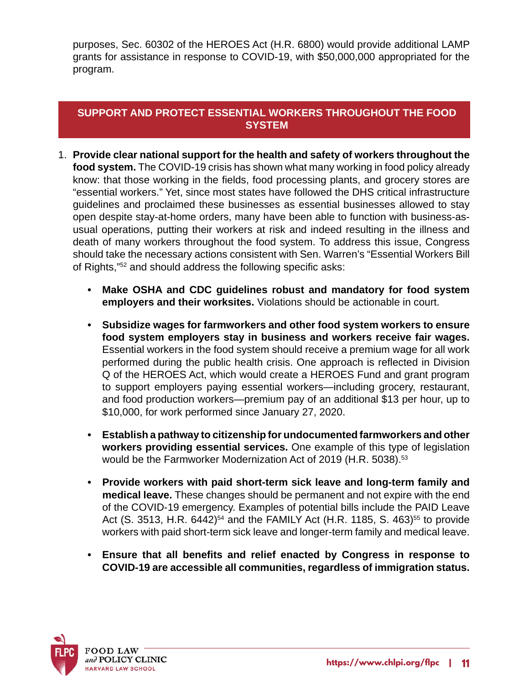purposes, Sec. 60302 of the HEROES Act (H.R. 6800) would provide additional LAMP grants for assistance in response to COVID-19, with \$50,000,000 appropriated for the program.

## **SUPPORT AND PROTECT ESSENTIAL WORKERS THROUGHOUT THE FOOD SYSTEM**

- 1. **Provide clear national support for the health and safety of workers throughout the food system.** The COVID-19 crisis has shown what many working in food policy already know: that those working in the fields, food processing plants, and grocery stores are "essential workers." Yet, since most states have followed the DHS critical infrastructure guidelines and proclaimed these businesses as essential businesses allowed to stay open despite stay-at-home orders, many have been able to function with business-asusual operations, putting their workers at risk and indeed resulting in the illness and death of many workers throughout the food system. To address this issue, Congress should take the necessary actions consistent with Sen. Warren's "Essential Workers Bill of Rights,"52 and should address the following specific asks:
	- **• Make OSHA and CDC guidelines robust and mandatory for food system employers and their worksites.** Violations should be actionable in court.
	- **• Subsidize wages for farmworkers and other food system workers to ensure food system employers stay in business and workers receive fair wages.**  Essential workers in the food system should receive a premium wage for all work performed during the public health crisis. One approach is reflected in Division Q of the HEROES Act, which would create a HEROES Fund and grant program to support employers paying essential workers—including grocery, restaurant, and food production workers—premium pay of an additional \$13 per hour, up to \$10,000, for work performed since January 27, 2020.
	- **• Establish a pathway to citizenship for undocumented farmworkers and other workers providing essential services.** One example of this type of legislation would be the Farmworker Modernization Act of 2019 (H.R. 5038).<sup>53</sup>
	- **• Provide workers with paid short-term sick leave and long-term family and medical leave.** These changes should be permanent and not expire with the end of the COVID-19 emergency. Examples of potential bills include the PAID Leave Act (S. 3513, H.R. 6442)<sup>54</sup> and the FAMILY Act (H.R. 1185, S. 463)<sup>55</sup> to provide workers with paid short-term sick leave and longer-term family and medical leave.
	- **• Ensure that all benefits and relief enacted by Congress in response to COVID-19 are accessible all communities, regardless of immigration status.**

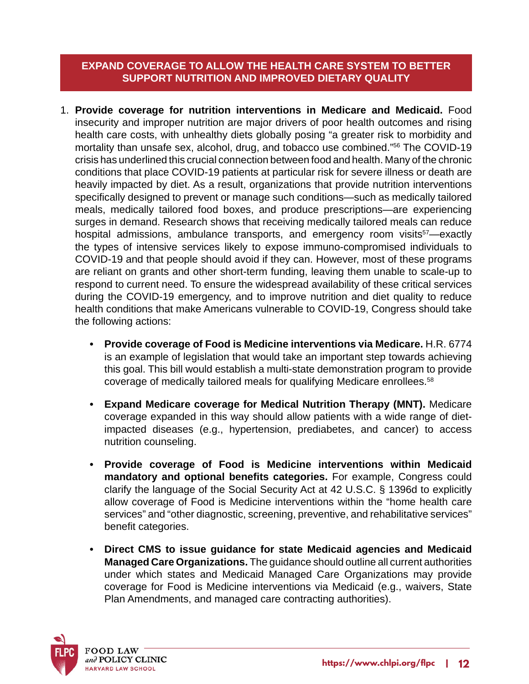## **EXPAND COVERAGE TO ALLOW THE HEALTH CARE SYSTEM TO BETTER SUPPORT NUTRITION AND IMPROVED DIETARY QUALITY**

- 1. **Provide coverage for nutrition interventions in Medicare and Medicaid.** Food insecurity and improper nutrition are major drivers of poor health outcomes and rising health care costs, with unhealthy diets globally posing "a greater risk to morbidity and mortality than unsafe sex, alcohol, drug, and tobacco use combined."56 The COVID-19 crisis has underlined this crucial connection between food and health. Many of the chronic conditions that place COVID-19 patients at particular risk for severe illness or death are heavily impacted by diet. As a result, organizations that provide nutrition interventions specifically designed to prevent or manage such conditions—such as medically tailored meals, medically tailored food boxes, and produce prescriptions—are experiencing surges in demand. Research shows that receiving medically tailored meals can reduce hospital admissions, ambulance transports, and emergency room visits<sup>57</sup>—exactly the types of intensive services likely to expose immuno-compromised individuals to COVID-19 and that people should avoid if they can. However, most of these programs are reliant on grants and other short-term funding, leaving them unable to scale-up to respond to current need. To ensure the widespread availability of these critical services during the COVID-19 emergency, and to improve nutrition and diet quality to reduce health conditions that make Americans vulnerable to COVID-19, Congress should take the following actions:
	- **• Provide coverage of Food is Medicine interventions via Medicare.** H.R. 6774 is an example of legislation that would take an important step towards achieving this goal. This bill would establish a multi-state demonstration program to provide coverage of medically tailored meals for qualifying Medicare enrollees.58
	- **• Expand Medicare coverage for Medical Nutrition Therapy (MNT).** Medicare coverage expanded in this way should allow patients with a wide range of dietimpacted diseases (e.g., hypertension, prediabetes, and cancer) to access nutrition counseling.
	- **• Provide coverage of Food is Medicine interventions within Medicaid mandatory and optional benefits categories.** For example, Congress could clarify the language of the Social Security Act at 42 U.S.C. § 1396d to explicitly allow coverage of Food is Medicine interventions within the "home health care services" and "other diagnostic, screening, preventive, and rehabilitative services" benefit categories.
	- **• Direct CMS to issue guidance for state Medicaid agencies and Medicaid Managed Care Organizations.** The guidance should outline all current authorities under which states and Medicaid Managed Care Organizations may provide coverage for Food is Medicine interventions via Medicaid (e.g., waivers, State Plan Amendments, and managed care contracting authorities).

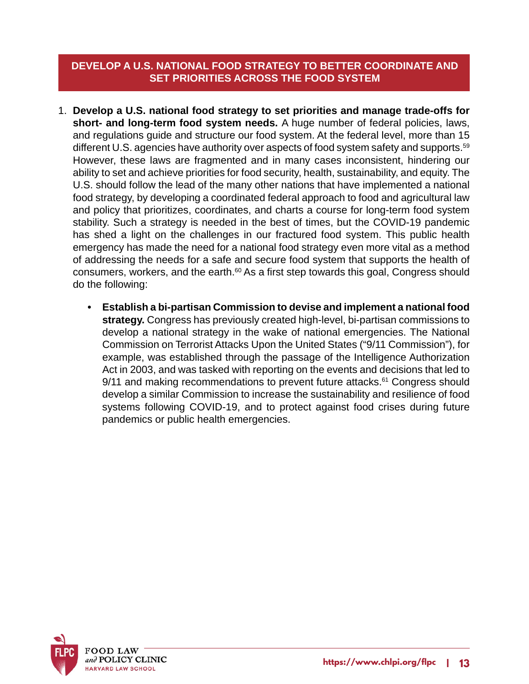## **DEVELOP A U.S. NATIONAL FOOD STRATEGY TO BETTER COORDINATE AND SET PRIORITIES ACROSS THE FOOD SYSTEM**

- 1. **Develop a U.S. national food strategy to set priorities and manage trade-offs for short- and long-term food system needs.** A huge number of federal policies, laws, and regulations guide and structure our food system. At the federal level, more than 15 different U.S. agencies have authority over aspects of food system safety and supports.<sup>59</sup> However, these laws are fragmented and in many cases inconsistent, hindering our ability to set and achieve priorities for food security, health, sustainability, and equity. The U.S. should follow the lead of the many other nations that have implemented a national food strategy, by developing a coordinated federal approach to food and agricultural law and policy that prioritizes, coordinates, and charts a course for long-term food system stability. Such a strategy is needed in the best of times, but the COVID-19 pandemic has shed a light on the challenges in our fractured food system. This public health emergency has made the need for a national food strategy even more vital as a method of addressing the needs for a safe and secure food system that supports the health of consumers, workers, and the earth.<sup>60</sup> As a first step towards this goal, Congress should do the following:
	- **• Establish a bi-partisan Commission to devise and implement a national food strategy.** Congress has previously created high-level, bi-partisan commissions to develop a national strategy in the wake of national emergencies. The National Commission on Terrorist Attacks Upon the United States ("9/11 Commission"), for example, was established through the passage of the Intelligence Authorization Act in 2003, and was tasked with reporting on the events and decisions that led to  $9/11$  and making recommendations to prevent future attacks. $61$  Congress should develop a similar Commission to increase the sustainability and resilience of food systems following COVID-19, and to protect against food crises during future pandemics or public health emergencies.

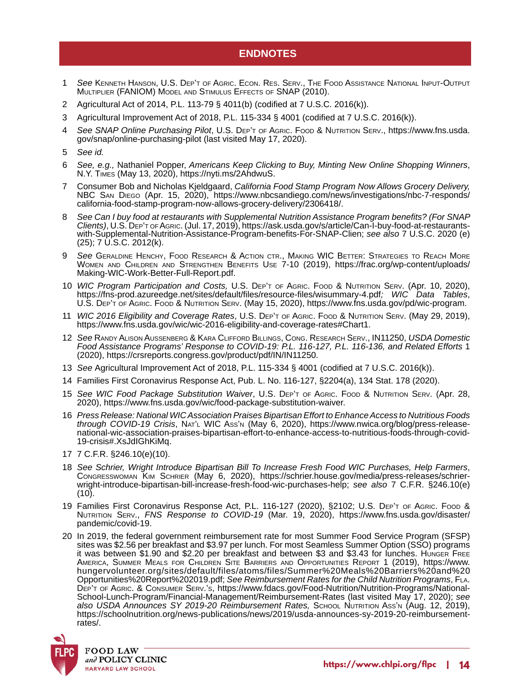#### **ENDNOTES**

- 1 *See* Kenneth Hanson, U.S. Dep't of Agric. Econ. Res. Serv., The Food Assistance National Input-Output Multiplier (FANIOM) Model and Stimulus Effects of SNAP (2010).
- 2 Agricultural Act of 2014, P.L. 113-79 § 4011(b) (codified at 7 U.S.C. 2016(k)).
- 3 Agricultural Improvement Act of 2018, P.L. 115-334 § 4001 (codified at 7 U.S.C. 2016(k)).
- 4 *See SNAP Online Purchasing Pilot*, U.S. Dep't of Agric. Food & Nutrition Serv., https://www.fns.usda. gov/snap/online-purchasing-pilot (last visited May 17, 2020).
- 5 *See id.*
- 6 *See, e.g.,* Nathaniel Popper, *Americans Keep Clicking to Buy, Minting New Online Shopping Winners*, N.Y. Times (May 13, 2020), https://nyti.ms/2AhdwuS.
- 7 Consumer Bob and Nicholas Kjeldgaard, *California Food Stamp Program Now Allows Grocery Delivery,* NBC San Diego (Apr. 15, 2020), https://www.nbcsandiego.com/news/investigations/nbc-7-responds/ california-food-stamp-program-now-allows-grocery-delivery/2306418/.
- See Can I buy food at restaurants with Supplemental Nutrition Assistance Program benefits? (For SNAP *Clients*), U.S. Dep't of Agric. (Jul. 17, 2019), https://ask.usda.gov/s/article/Can-I-buy-food-at-restaurantswith-Supplemental-Nutrition-Assistance-Program-benefits-For-SNAP-Clien; *see also* 7 U.S.C. 2020 (e) (25); 7 U.S.C. 2012(k).
- 9 *See* Geraldine Henchy, Food Research & Action ctr., Making WIC Better: Strategies to Reach More Women and Children and Strengthen Benefits Use 7-10 (2019), https://frac.org/wp-content/uploads/ Making-WIC-Work-Better-Full-Report.pdf.
- 10 *WIC Program Participation and Costs,* U.S. Dep't of Agric. Food & Nutrition Serv. (Apr. 10, 2020), https://fns-prod.azureedge.net/sites/default/files/resource-files/wisummary-4.pdf*; WIC Data Tables*, U.S. DEP'T OF AGRIC. FOOD & NUTRITION SERV. (May 15, 2020), https://www.fns.usda.gov/pd/wic-program.
- 11 *WIC 2016 Eligibility and Coverage Rates*, U.S. Dep't of Agric. Food & Nutrition Serv. (May 29, 2019), https://www.fns.usda.gov/wic/wic-2016-eligibility-and-coverage-rates#Chart1.
- 12 *See* Randy Alison Aussenberg & Kara Clifford Billings, Cong. Research Serv., IN11250, *USDA Domestic Food Assistance Programs' Response to COVID-19: P.L. 116-127, P.L. 116-136, and Related Efforts* 1 (2020), https://crsreports.congress.gov/product/pdf/IN/IN11250.
- 13 *See* Agricultural Improvement Act of 2018, P.L. 115-334 § 4001 (codified at 7 U.S.C. 2016(k)).
- 14 Families First Coronavirus Response Act, Pub. L. No. 116-127, §2204(a), 134 Stat. 178 (2020).
- 15 *See WIC Food Package Substitution Waiver*, U.S. Dep't of Agric. Food & Nutrition Serv. (Apr. 28, 2020), https://www.fns.usda.gov/wic/food-package-substitution-waiver.
- 16 *Press Release: National WIC Association Praises Bipartisan Effort to Enhance Access to Nutritious Foods through COVID-19 Crisis*, Nat'l WIC Ass'n (May 6, 2020), https://www.nwica.org/blog/press-releasenational-wic-association-praises-bipartisan-effort-to-enhance-access-to-nutritious-foods-through-covid-19-crisis#.XsJdIGhKiMq.
- 17 7 C.F.R. §246.10(e)(10).
- <sup>18</sup> *See Schrier, Wright Introduce Bipartisan Bill To Increase Fresh Food WIC Purchases, Help Farmers*, Congresswoman Kim Schrier (May 6, 2020), https://schrier.house.gov/media/press-releases/schrierwright-introduce-bipartisan-bill-increase-fresh-food-wic-purchases-help; *see also* 7 C.F.R. §246.10(e)  $(10).$
- 19 Families First Coronavirus Response Act, P.L. 116-127 (2020), §2102; U.S. DEP'T OF AGRIC. Food & Nutrition Serv., *FNS Response to COVID-19* (Mar. 19, 2020), https://www.fns.usda.gov/disaster/ pandemic/covid-19.
- 20 In 2019, the federal government reimbursement rate for most Summer Food Service Program (SFSP) sites was \$2.56 per breakfast and \$3.97 per lunch. For most Seamless Summer Option (SSO) programs it was between \$1.90 and \$2.20 per breakfast and between \$3 and \$3.43 for lunches. Hunger Free America, Summer Meals for Children Site Barriers and Opportunities Report 1 (2019), https://www. hungervolunteer.org/sites/default/files/atoms/files/Summer%20Meals%20Barriers%20and%20 Opportunities%20Report%202019.pdf; *See Reimbursement Rates for the Child Nutrition Programs*, Fla. DEP'T OF AGRIC. & CONSUMER SERV.'s, https://www.fdacs.gov/Food-Nutrition/Nutrition-Programs/National-School-Lunch-Program/Financial-Management/Reimbursement-Rates (last visited May 17, 2020); *see also USDA Announces SY 2019-20 Reimbursement Rates,* School Nutrition Ass'n (Aug. 12, 2019), https://schoolnutrition.org/news-publications/news/2019/usda-announces-sy-2019-20-reimbursementrates/.

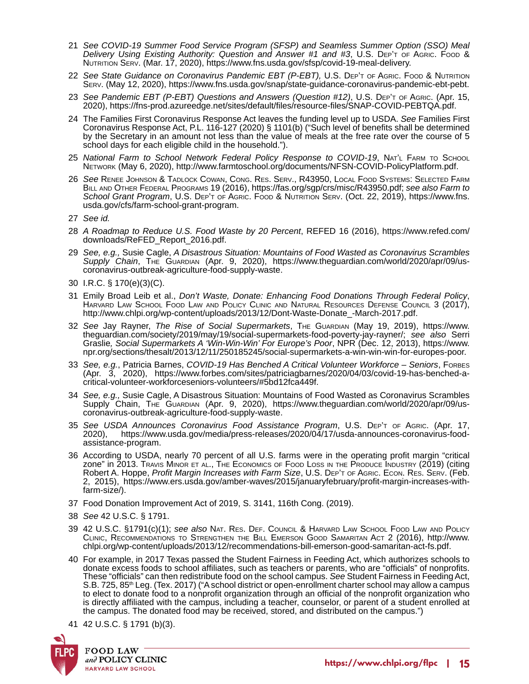- 21 *See COVID-19 Summer Food Service Program (SFSP) and Seamless Summer Option (SSO) Meal Delivery Using Existing Authority: Question and Answer #1 and #3*, U.S. Dep't of Agric. Food & Nutrition Serv. (Mar. 17, 2020), https://www.fns.usda.gov/sfsp/covid-19-meal-delivery.
- 22 *See State Guidance on Coronavirus Pandemic EBT (P-EBT),* U.S. Dep't of Agric. Food & Nutrition Serv. (May 12, 2020), https://www.fns.usda.gov/snap/state-guidance-coronavirus-pandemic-ebt-pebt.
- 23 *See Pandemic EBT (P-EBT) Questions and Answers (Question #12)*, U.S. Dep't of Agric. (Apr. 15, 2020), https://fns-prod.azureedge.net/sites/default/files/resource-files/SNAP-COVID-PEBTQA.pdf.
- 24 The Families First Coronavirus Response Act leaves the funding level up to USDA. *See* Families First Coronavirus Response Act, P.L. 116-127 (2020) § 1101(b) ("Such level of benefits shall be determined by the Secretary in an amount not less than the value of meals at the free rate over the course of 5 school days for each eligible child in the household.").
- 25 National Farm to School Network Federal Policy Response to COVID-19, NAT'L FARM TO SCHOOL Network (May 6, 2020), http://www.farmtoschool.org/documents/NFSN-COVID-PolicyPlatform.pdf.
- 26 *See* Renee Johnson & Tadlock Cowan, Cong. Res. Serv., R43950, Local Food Systems: Selected Farm Bill and Other Federal Programs 19 (2016), https://fas.org/sgp/crs/misc/R43950.pdf; *see also Farm to School Grant Program*, U.S. Dep't of Agric. Food & Nutrition Serv. (Oct. 22, 2019), https://www.fns. usda.gov/cfs/farm-school-grant-program.
- 27 *See id.*
- 28 *A Roadmap to Reduce U.S. Food Waste by 20 Percent*, REFED 16 (2016), https://www.refed.com/ downloads/ReFED\_Report\_2016.pdf.
- 29 *See, e.g.,* Susie Cagle, *A Disastrous Situation: Mountains of Food Wasted as Coronavirus Scrambles Supply Chain*, The Guardian (Apr. 9, 2020), https://www.theguardian.com/world/2020/apr/09/uscoronavirus-outbreak-agriculture-food-supply-waste.
- 30 I.R.C. § 170(e)(3)(C).
- 31 Emily Broad Leib et al., *Don't Waste, Donate: Enhancing Food Donations Through Federal Policy*, Harvard Law School Food Law and Policy Clinic and Natural Resources Defense Council 3 (2017), http://www.chlpi.org/wp-content/uploads/2013/12/Dont-Waste-Donate\_-March-2017.pdf.
- 32 *See* Jay Rayner, *The Rise of Social Supermarkets*, The Guardian (May 19, 2019), https://www. theguardian.com/society/2019/may/19/social-supermarkets-food-poverty-jay-rayner/; *see also* Serri Graslie*, Social Supermarkets A 'Win-Win-Win' For Europe's Poor*, NPR (Dec. 12, 2013), https://www. npr.org/sections/thesalt/2013/12/11/250185245/social-supermarkets-a-win-win-win-for-europes-poor.
- 33 *See, e.g.*, Patricia Barnes, *COVID-19 Has Benched A Critical Volunteer Workforce Seniors*, Forbes (Apr. 3, 2020), https://www.forbes.com/sites/patriciagbarnes/2020/04/03/covid-19-has-benched-acritical-volunteer-workforceseniors-volunteers/#5bd12fca449f.
- 34 *See, e.g.,* Susie Cagle, A Disastrous Situation: Mountains of Food Wasted as Coronavirus Scrambles Supply Chain, The Guardian (Apr. 9, 2020), https://www.theguardian.com/world/2020/apr/09/uscoronavirus-outbreak-agriculture-food-supply-waste.
- 35 *See USDA Announces Coronavirus Food Assistance Program*, U.S. Dep't of Agric. (Apr. 17, 2020), https://www.usda.gov/media/press-releases/2020/04/17/usda-announces-coronavirus-foodassistance-program.
- 36 According to USDA, nearly 70 percent of all U.S. farms were in the operating profit margin "critical zone" in 2013. Travis Minor et al., The Economics of Food Loss in the Produce Industry (2019) (citing Robert A. Hoppe, *Profit Margin Increases with Farm Size*, U.S. Dep't of Agric. Econ. Res. Serv. (Feb. 2, 2015), https://www.ers.usda.gov/amber-waves/2015/januaryfebruary/profit-margin-increases-withfarm-size/).
- 37 Food Donation Improvement Act of 2019, S. 3141, 116th Cong. (2019).
- 38 *See* 42 U.S.C. § 1791.
- 39 42 U.S.C. §1791(c)(1); *see also* Nat. Res. Def. Council & Harvard Law School Food Law and Policy Clinic, Recommendations to Strengthen the Bill Emerson Good Samaritan Act 2 (2016), http://www. chlpi.org/wp-content/uploads/2013/12/recommendations-bill-emerson-good-samaritan-act-fs.pdf.
- 40 For example, in 2017 Texas passed the Student Fairness in Feeding Act, which authorizes schools to donate excess foods to school affiliates, such as teachers or parents, who are "officials" of nonprofits. These "officials" can then redistribute food on the school campus. See Student Fairness in Feeding Act, S.B. 725, 85<sup>th</sup> Leg. (Tex. 2017) ("A school district or open-enrollment charter school may allow a campus to elect to donate food to a nonprofit organization through an official of the nonprofit organization who is directly affiliated with the campus, including a teacher, counselor, or parent of a student enrolled at the campus. The donated food may be received, stored, and distributed on the campus.")
- 41 42 U.S.C. § 1791 (b)(3).